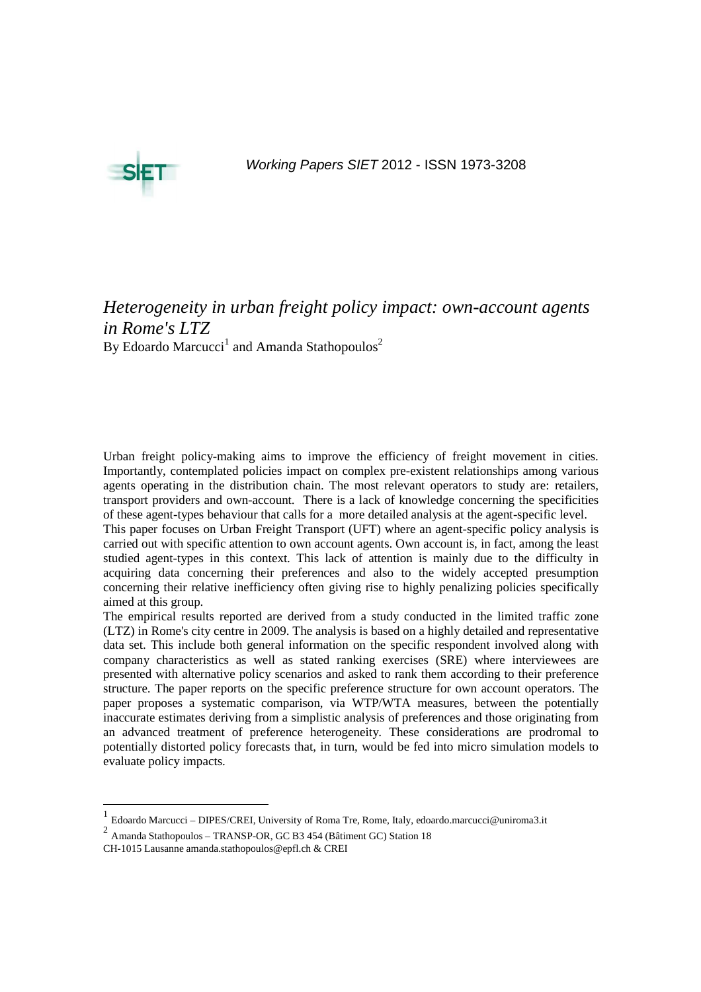

Working Papers SIET 2012 - ISSN 1973-3208

# *Heterogeneity in urban freight policy impact: own-account agents in Rome's LTZ*  By Edoardo Marcucci<sup>1</sup> and Amanda Stathopoulos<sup>2</sup>

Urban freight policy-making aims to improve the efficiency of freight movement in cities. Importantly, contemplated policies impact on complex pre-existent relationships among various agents operating in the distribution chain. The most relevant operators to study are: retailers, transport providers and own-account. There is a lack of knowledge concerning the specificities of these agent-types behaviour that calls for a more detailed analysis at the agent-specific level.

This paper focuses on Urban Freight Transport (UFT) where an agent-specific policy analysis is carried out with specific attention to own account agents. Own account is, in fact, among the least studied agent-types in this context. This lack of attention is mainly due to the difficulty in acquiring data concerning their preferences and also to the widely accepted presumption concerning their relative inefficiency often giving rise to highly penalizing policies specifically aimed at this group.

The empirical results reported are derived from a study conducted in the limited traffic zone (LTZ) in Rome's city centre in 2009. The analysis is based on a highly detailed and representative data set. This include both general information on the specific respondent involved along with company characteristics as well as stated ranking exercises (SRE) where interviewees are presented with alternative policy scenarios and asked to rank them according to their preference structure. The paper reports on the specific preference structure for own account operators. The paper proposes a systematic comparison, via WTP/WTA measures, between the potentially inaccurate estimates deriving from a simplistic analysis of preferences and those originating from an advanced treatment of preference heterogeneity. These considerations are prodromal to potentially distorted policy forecasts that, in turn, would be fed into micro simulation models to evaluate policy impacts.

-

<sup>1</sup> Edoardo Marcucci – DIPES/CREI, University of Roma Tre, Rome, Italy, edoardo.marcucci@uniroma3.it

<sup>2</sup> Amanda Stathopoulos – TRANSP-OR, GC B3 454 (Bâtiment GC) Station 18

CH-1015 Lausanne amanda.stathopoulos@epfl.ch & CREI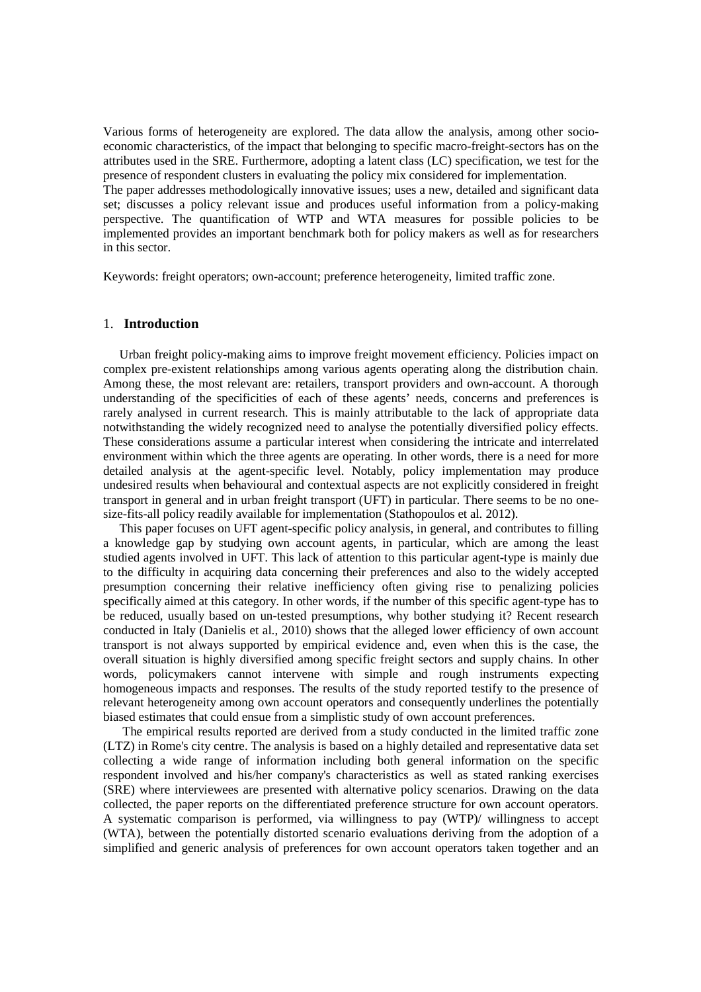Various forms of heterogeneity are explored. The data allow the analysis, among other socioeconomic characteristics, of the impact that belonging to specific macro-freight-sectors has on the attributes used in the SRE. Furthermore, adopting a latent class (LC) specification, we test for the presence of respondent clusters in evaluating the policy mix considered for implementation. The paper addresses methodologically innovative issues; uses a new, detailed and significant data set; discusses a policy relevant issue and produces useful information from a policy-making perspective. The quantification of WTP and WTA measures for possible policies to be implemented provides an important benchmark both for policy makers as well as for researchers in this sector.

Keywords: freight operators; own-account; preference heterogeneity, limited traffic zone.

## 1. **Introduction**

Urban freight policy-making aims to improve freight movement efficiency. Policies impact on complex pre-existent relationships among various agents operating along the distribution chain. Among these, the most relevant are: retailers, transport providers and own-account. A thorough understanding of the specificities of each of these agents' needs, concerns and preferences is rarely analysed in current research. This is mainly attributable to the lack of appropriate data notwithstanding the widely recognized need to analyse the potentially diversified policy effects. These considerations assume a particular interest when considering the intricate and interrelated environment within which the three agents are operating. In other words, there is a need for more detailed analysis at the agent-specific level. Notably, policy implementation may produce undesired results when behavioural and contextual aspects are not explicitly considered in freight transport in general and in urban freight transport (UFT) in particular. There seems to be no onesize-fits-all policy readily available for implementation (Stathopoulos et al. 2012).

This paper focuses on UFT agent-specific policy analysis, in general, and contributes to filling a knowledge gap by studying own account agents, in particular, which are among the least studied agents involved in UFT. This lack of attention to this particular agent-type is mainly due to the difficulty in acquiring data concerning their preferences and also to the widely accepted presumption concerning their relative inefficiency often giving rise to penalizing policies specifically aimed at this category. In other words, if the number of this specific agent-type has to be reduced, usually based on un-tested presumptions, why bother studying it? Recent research conducted in Italy (Danielis et al., 2010) shows that the alleged lower efficiency of own account transport is not always supported by empirical evidence and, even when this is the case, the overall situation is highly diversified among specific freight sectors and supply chains. In other words, policymakers cannot intervene with simple and rough instruments expecting homogeneous impacts and responses. The results of the study reported testify to the presence of relevant heterogeneity among own account operators and consequently underlines the potentially biased estimates that could ensue from a simplistic study of own account preferences.

 The empirical results reported are derived from a study conducted in the limited traffic zone (LTZ) in Rome's city centre. The analysis is based on a highly detailed and representative data set collecting a wide range of information including both general information on the specific respondent involved and his/her company's characteristics as well as stated ranking exercises (SRE) where interviewees are presented with alternative policy scenarios. Drawing on the data collected, the paper reports on the differentiated preference structure for own account operators. A systematic comparison is performed, via willingness to pay (WTP)/ willingness to accept (WTA), between the potentially distorted scenario evaluations deriving from the adoption of a simplified and generic analysis of preferences for own account operators taken together and an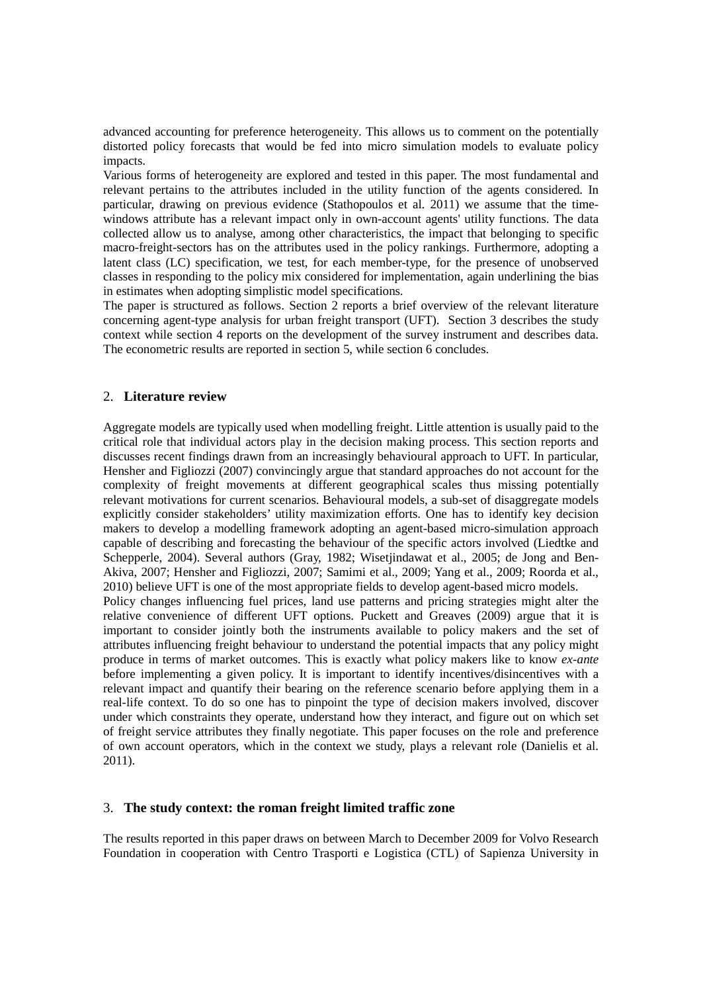advanced accounting for preference heterogeneity. This allows us to comment on the potentially distorted policy forecasts that would be fed into micro simulation models to evaluate policy impacts.

Various forms of heterogeneity are explored and tested in this paper. The most fundamental and relevant pertains to the attributes included in the utility function of the agents considered. In particular, drawing on previous evidence (Stathopoulos et al. 2011) we assume that the timewindows attribute has a relevant impact only in own-account agents' utility functions. The data collected allow us to analyse, among other characteristics, the impact that belonging to specific macro-freight-sectors has on the attributes used in the policy rankings. Furthermore, adopting a latent class (LC) specification, we test, for each member-type, for the presence of unobserved classes in responding to the policy mix considered for implementation, again underlining the bias in estimates when adopting simplistic model specifications.

The paper is structured as follows. Section 2 reports a brief overview of the relevant literature concerning agent-type analysis for urban freight transport (UFT). Section 3 describes the study context while section 4 reports on the development of the survey instrument and describes data. The econometric results are reported in section 5, while section 6 concludes.

# 2. **Literature review**

Aggregate models are typically used when modelling freight. Little attention is usually paid to the critical role that individual actors play in the decision making process. This section reports and discusses recent findings drawn from an increasingly behavioural approach to UFT. In particular, Hensher and Figliozzi (2007) convincingly argue that standard approaches do not account for the complexity of freight movements at different geographical scales thus missing potentially relevant motivations for current scenarios. Behavioural models, a sub-set of disaggregate models explicitly consider stakeholders' utility maximization efforts. One has to identify key decision makers to develop a modelling framework adopting an agent-based micro-simulation approach capable of describing and forecasting the behaviour of the specific actors involved (Liedtke and Schepperle, 2004). Several authors (Gray, 1982; Wisetjindawat et al., 2005; de Jong and Ben-Akiva, 2007; Hensher and Figliozzi, 2007; Samimi et al., 2009; Yang et al., 2009; Roorda et al., 2010) believe UFT is one of the most appropriate fields to develop agent-based micro models. Policy changes influencing fuel prices, land use patterns and pricing strategies might alter the relative convenience of different UFT options. Puckett and Greaves (2009) argue that it is important to consider jointly both the instruments available to policy makers and the set of attributes influencing freight behaviour to understand the potential impacts that any policy might produce in terms of market outcomes. This is exactly what policy makers like to know *ex-ante* before implementing a given policy. It is important to identify incentives/disincentives with a relevant impact and quantify their bearing on the reference scenario before applying them in a real-life context. To do so one has to pinpoint the type of decision makers involved, discover under which constraints they operate, understand how they interact, and figure out on which set of freight service attributes they finally negotiate. This paper focuses on the role and preference of own account operators, which in the context we study, plays a relevant role (Danielis et al. 2011).

#### 3. **The study context: the roman freight limited traffic zone**

The results reported in this paper draws on between March to December 2009 for Volvo Research Foundation in cooperation with Centro Trasporti e Logistica (CTL) of Sapienza University in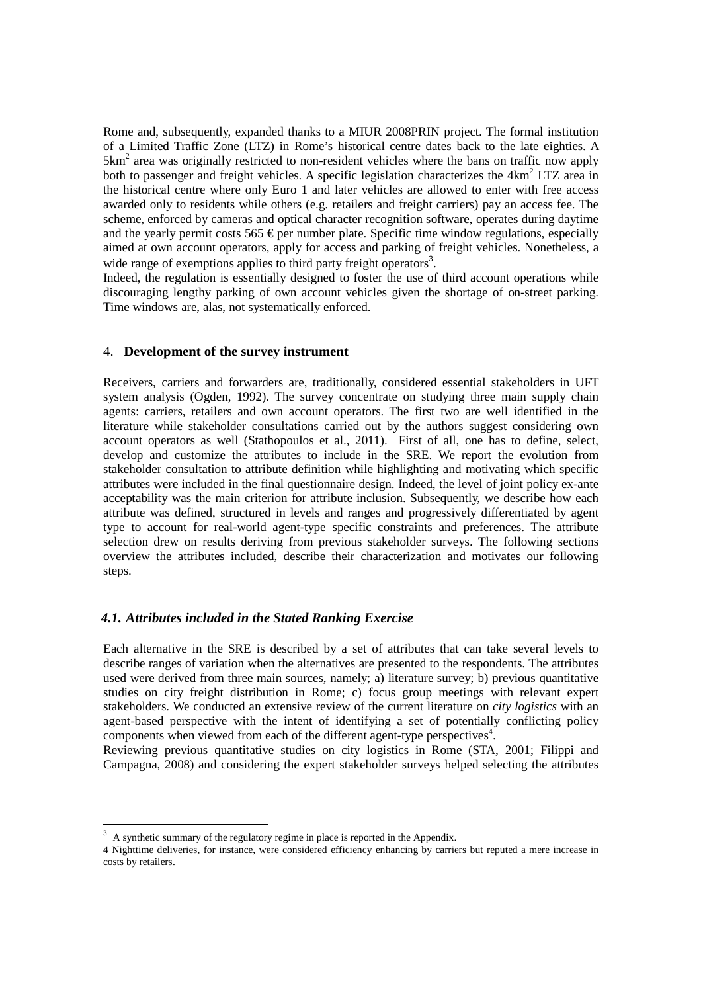Rome and, subsequently, expanded thanks to a MIUR 2008PRIN project. The formal institution of a Limited Traffic Zone (LTZ) in Rome's historical centre dates back to the late eighties. A  $5 \text{km}^2$  area was originally restricted to non-resident vehicles where the bans on traffic now apply both to passenger and freight vehicles. A specific legislation characterizes the 4km<sup>2</sup> LTZ area in the historical centre where only Euro 1 and later vehicles are allowed to enter with free access awarded only to residents while others (e.g. retailers and freight carriers) pay an access fee. The scheme, enforced by cameras and optical character recognition software, operates during daytime and the yearly permit costs  $565 \in$  per number plate. Specific time window regulations, especially aimed at own account operators, apply for access and parking of freight vehicles. Nonetheless, a wide range of exemptions applies to third party freight operators<sup>3</sup>.

Indeed, the regulation is essentially designed to foster the use of third account operations while discouraging lengthy parking of own account vehicles given the shortage of on-street parking. Time windows are, alas, not systematically enforced.

# 4. **Development of the survey instrument**

Receivers, carriers and forwarders are, traditionally, considered essential stakeholders in UFT system analysis (Ogden, 1992). The survey concentrate on studying three main supply chain agents: carriers, retailers and own account operators. The first two are well identified in the literature while stakeholder consultations carried out by the authors suggest considering own account operators as well (Stathopoulos et al., 2011). First of all, one has to define, select, develop and customize the attributes to include in the SRE. We report the evolution from stakeholder consultation to attribute definition while highlighting and motivating which specific attributes were included in the final questionnaire design. Indeed, the level of joint policy ex-ante acceptability was the main criterion for attribute inclusion. Subsequently, we describe how each attribute was defined, structured in levels and ranges and progressively differentiated by agent type to account for real-world agent-type specific constraints and preferences. The attribute selection drew on results deriving from previous stakeholder surveys. The following sections overview the attributes included, describe their characterization and motivates our following steps.

#### *4.1. Attributes included in the Stated Ranking Exercise*

Each alternative in the SRE is described by a set of attributes that can take several levels to describe ranges of variation when the alternatives are presented to the respondents. The attributes used were derived from three main sources, namely; a) literature survey; b) previous quantitative studies on city freight distribution in Rome; c) focus group meetings with relevant expert stakeholders. We conducted an extensive review of the current literature on *city logistics* with an agent-based perspective with the intent of identifying a set of potentially conflicting policy components when viewed from each of the different agent-type perspectives<sup>4</sup>.

Reviewing previous quantitative studies on city logistics in Rome (STA, 2001; Filippi and Campagna, 2008) and considering the expert stakeholder surveys helped selecting the attributes

<sup>&</sup>lt;sup>3</sup> A synthetic summary of the regulatory regime in place is reported in the Appendix.

<sup>4</sup> Nighttime deliveries, for instance, were considered efficiency enhancing by carriers but reputed a mere increase in costs by retailers.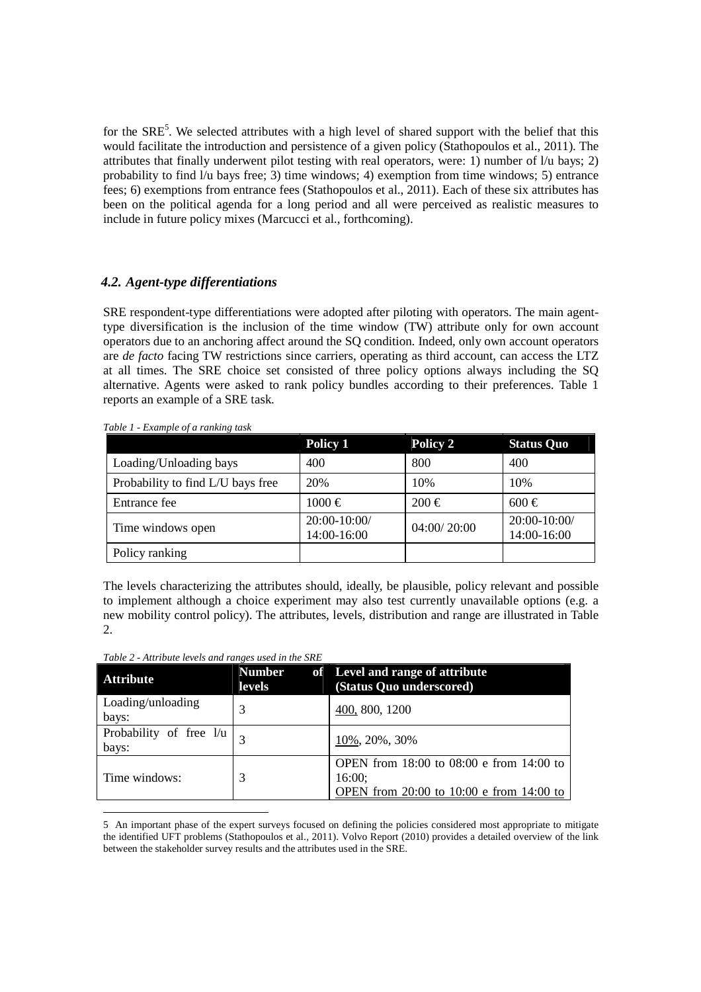for the SRE<sup>5</sup>. We selected attributes with a high level of shared support with the belief that this would facilitate the introduction and persistence of a given policy (Stathopoulos et al., 2011). The attributes that finally underwent pilot testing with real operators, were: 1) number of l/u bays; 2) probability to find  $1/u$  bays free; 3) time windows; 4) exemption from time windows; 5) entrance fees; 6) exemptions from entrance fees (Stathopoulos et al., 2011). Each of these six attributes has been on the political agenda for a long period and all were perceived as realistic measures to include in future policy mixes (Marcucci et al., forthcoming).

# *4.2. Agent-type differentiations*

SRE respondent-type differentiations were adopted after piloting with operators. The main agenttype diversification is the inclusion of the time window (TW) attribute only for own account operators due to an anchoring affect around the SQ condition. Indeed, only own account operators are *de facto* facing TW restrictions since carriers, operating as third account, can access the LTZ at all times. The SRE choice set consisted of three policy options always including the SQ alternative. Agents were asked to rank policy bundles according to their preferences. Table 1 reports an example of a SRE task.

|                                   | Policy 1                    | Policy 2    | <b>Status Quo</b>           |  |  |
|-----------------------------------|-----------------------------|-------------|-----------------------------|--|--|
| Loading/Unloading bays            | 400                         | 800         | 400                         |  |  |
| Probability to find L/U bays free | 20%                         | 10%         | 10%                         |  |  |
| Entrance fee                      | $1000 \in$                  | $200 \in$   | $600 \in$                   |  |  |
| Time windows open                 | 20:00-10:00/<br>14:00-16:00 | 04:00/20:00 | 20:00-10:00/<br>14:00-16:00 |  |  |
| Policy ranking                    |                             |             |                             |  |  |

The levels characterizing the attributes should, ideally, be plausible, policy relevant and possible to implement although a choice experiment may also test currently unavailable options (e.g. a new mobility control policy). The attributes, levels, distribution and range are illustrated in Table 2.

-

| <b>Attribute</b>                   | <b>Number</b><br>of<br><b>levels</b> | Level and range of attribute<br>(Status Quo underscored)                                       |  |  |  |  |  |  |
|------------------------------------|--------------------------------------|------------------------------------------------------------------------------------------------|--|--|--|--|--|--|
| Loading/unloading<br>bays:         | 3                                    | 400, 800, 1200                                                                                 |  |  |  |  |  |  |
| Probability of free $1/u$<br>bays: |                                      | 10%, 20%, 30%                                                                                  |  |  |  |  |  |  |
| Time windows:                      |                                      | OPEN from 18:00 to 08:00 e from 14:00 to<br>16:00;<br>OPEN from 20:00 to 10:00 e from 14:00 to |  |  |  |  |  |  |

5 An important phase of the expert surveys focused on defining the policies considered most appropriate to mitigate the identified UFT problems (Stathopoulos et al., 2011). Volvo Report (2010) provides a detailed overview of the link between the stakeholder survey results and the attributes used in the SRE.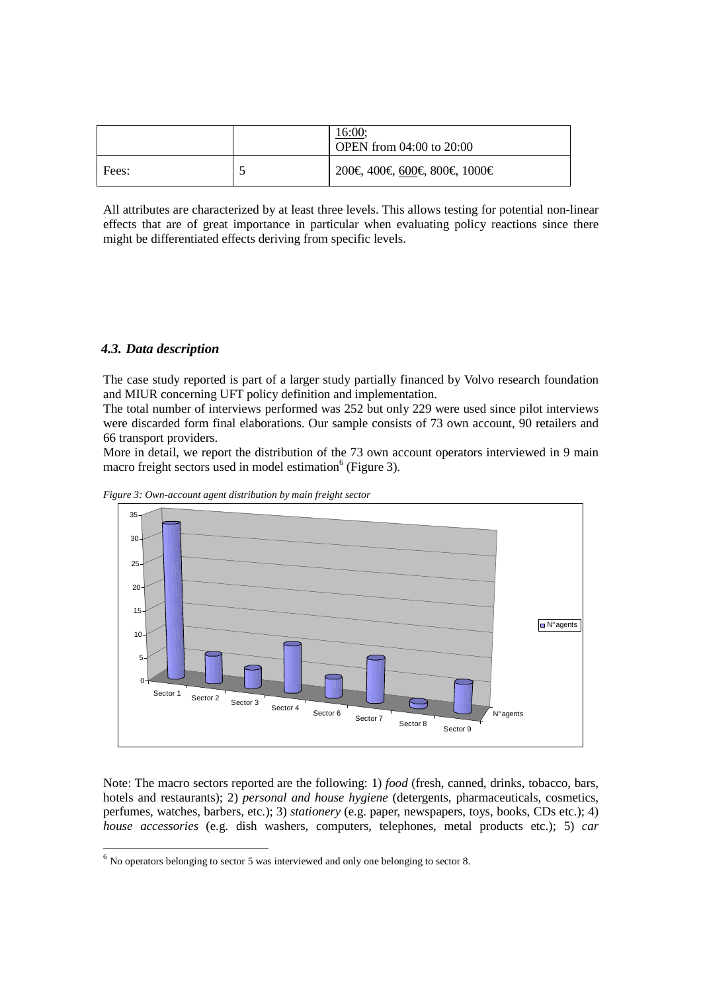|       | 16:00;<br><b>OPEN</b> from 04:00 to 20:00 |
|-------|-------------------------------------------|
| Fees: | 200€, 400€, 60€, 800€, 1000€              |

All attributes are characterized by at least three levels. This allows testing for potential non-linear effects that are of great importance in particular when evaluating policy reactions since there might be differentiated effects deriving from specific levels.

# *4.3. Data description*

-

The case study reported is part of a larger study partially financed by Volvo research foundation and MIUR concerning UFT policy definition and implementation.

The total number of interviews performed was 252 but only 229 were used since pilot interviews were discarded form final elaborations. Our sample consists of 73 own account, 90 retailers and 66 transport providers.

More in detail, we report the distribution of the 73 own account operators interviewed in 9 main macro freight sectors used in model estimation<sup>6</sup> (Figure 3).



*Figure 3: Own-account agent distribution by main freight sector* 

Note: The macro sectors reported are the following: 1) *food* (fresh, canned, drinks, tobacco, bars, hotels and restaurants); 2) *personal and house hygiene* (detergents, pharmaceuticals, cosmetics, perfumes, watches, barbers, etc.); 3) *stationery* (e.g. paper, newspapers, toys, books, CDs etc.); 4) *house accessories* (e.g. dish washers, computers, telephones, metal products etc.); 5) *car* 

 $<sup>6</sup>$  No operators belonging to sector 5 was interviewed and only one belonging to sector 8.</sup>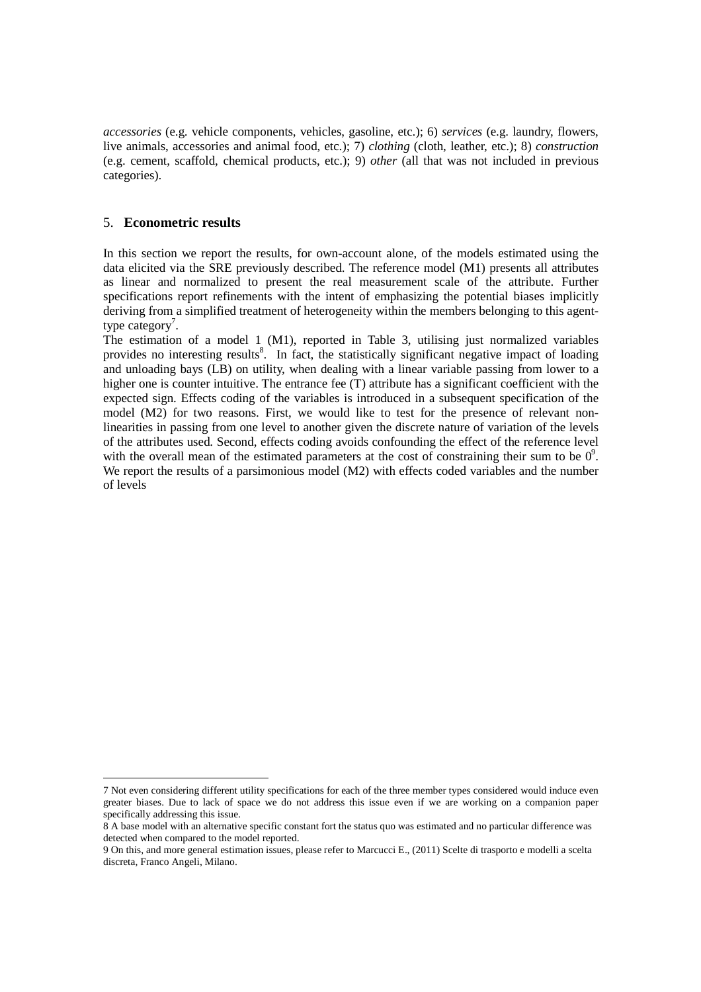*accessories* (e.g. vehicle components, vehicles, gasoline, etc.); 6) *services* (e.g. laundry, flowers, live animals, accessories and animal food, etc.); 7) *clothing* (cloth, leather, etc.); 8) *construction* (e.g. cement, scaffold, chemical products, etc.); 9) *other* (all that was not included in previous categories).

# 5. **Econometric results**

-

In this section we report the results, for own-account alone, of the models estimated using the data elicited via the SRE previously described. The reference model (M1) presents all attributes as linear and normalized to present the real measurement scale of the attribute. Further specifications report refinements with the intent of emphasizing the potential biases implicitly deriving from a simplified treatment of heterogeneity within the members belonging to this agenttype category<sup>7</sup>.

The estimation of a model 1 (M1), reported in Table 3, utilising just normalized variables provides no interesting results<sup>8</sup>. In fact, the statistically significant negative impact of loading and unloading bays (LB) on utility, when dealing with a linear variable passing from lower to a higher one is counter intuitive. The entrance fee (T) attribute has a significant coefficient with the expected sign. Effects coding of the variables is introduced in a subsequent specification of the model (M2) for two reasons. First, we would like to test for the presence of relevant nonlinearities in passing from one level to another given the discrete nature of variation of the levels of the attributes used. Second, effects coding avoids confounding the effect of the reference level with the overall mean of the estimated parameters at the cost of constraining their sum to be  $0^9$ . We report the results of a parsimonious model (M2) with effects coded variables and the number of levels

<sup>7</sup> Not even considering different utility specifications for each of the three member types considered would induce even greater biases. Due to lack of space we do not address this issue even if we are working on a companion paper specifically addressing this issue.

<sup>8</sup> A base model with an alternative specific constant fort the status quo was estimated and no particular difference was detected when compared to the model reported.

<sup>9</sup> On this, and more general estimation issues, please refer to Marcucci E., (2011) Scelte di trasporto e modelli a scelta discreta, Franco Angeli, Milano.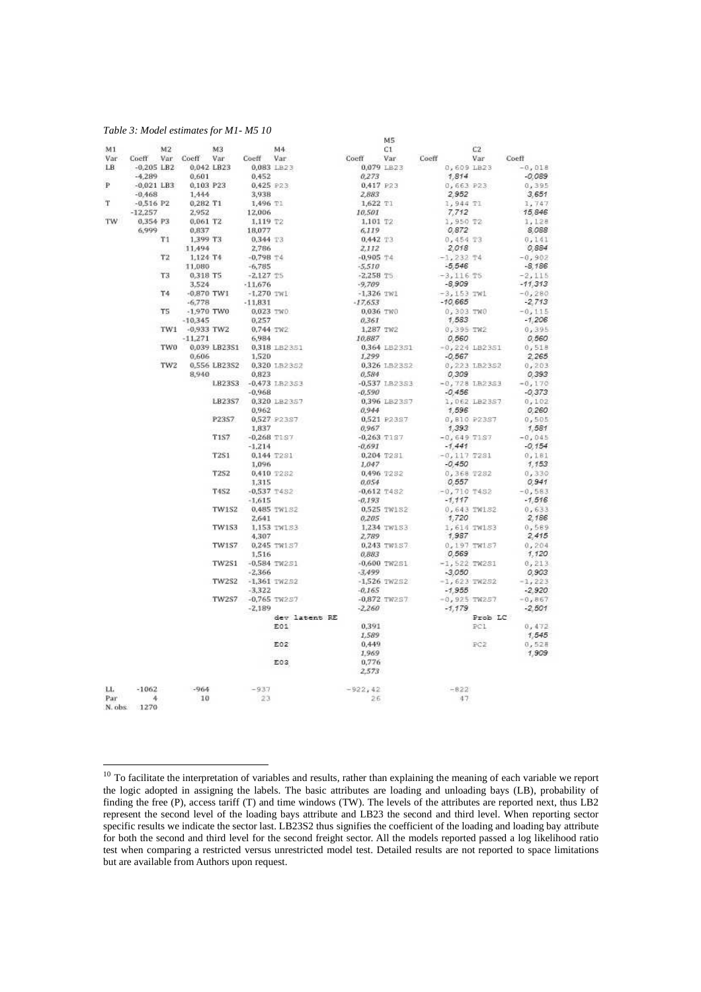#### *Table 3: Model estimates for M1- M5 10*

-

| M1  |                                                                                       | M2             |                | M <sub>3</sub> |                    | M4                                                                                                                                                                                                                                                                                                                                      |                                             | C1                    |               | C2              |                   |
|-----|---------------------------------------------------------------------------------------|----------------|----------------|----------------|--------------------|-----------------------------------------------------------------------------------------------------------------------------------------------------------------------------------------------------------------------------------------------------------------------------------------------------------------------------------------|---------------------------------------------|-----------------------|---------------|-----------------|-------------------|
|     | Var Coeff Var Coeff Var Coeff Var                                                     |                |                |                |                    | $\begin{array}{ccccccccc} & & & & & & & \textrm{C1} & & & & & \textrm{C2} \\ \textbf{Coeff} & & \textbf{Var} & & \textbf{Coeff} & & \textbf{Var} & & \textbf{Coeff} & & \textrm{Var} & & \textrm{Coeff} \\ & & & & & & & 0,079 \text{ L} \textrm{B} \textrm{23} & & & & \textrm{0, 609 L} \textrm{B} \textrm{23} & & & -0, \end{array}$ |                                             |                       |               |                 |                   |
| LB. | $-0.205$ LB2 $0.042$ LB23                                                             |                |                |                |                    |                                                                                                                                                                                                                                                                                                                                         |                                             |                       |               |                 | $-0.018$          |
|     | $-4.289$                                                                              |                | 0,601          |                |                    |                                                                                                                                                                                                                                                                                                                                         | 0.273                                       |                       | 1.814         |                 | $-0.089$          |
| ₽   | $-0.021$ LB3                                                                          |                | 0,103 P23      |                |                    | 0,452<br>0,425 P23<br>3,938                                                                                                                                                                                                                                                                                                             | $0,417$ P23<br>2,883<br>1,622 T1<br>10,501  |                       | $0,663$ $P23$ |                 | 0, 395            |
|     | $-0,468$<br>$-0,516$ P2<br>$-12,257$<br>$-12,257$<br>$-2,952$<br>$-2,952$<br>$-2,952$ |                |                |                |                    |                                                                                                                                                                                                                                                                                                                                         |                                             |                       | 2.952         |                 | 3.651             |
| T   |                                                                                       |                |                |                | 1,496 T1           |                                                                                                                                                                                                                                                                                                                                         |                                             |                       | 1,944 TI      |                 | 1,747             |
|     |                                                                                       |                |                |                | 12,006             | 12,006<br>1,119 T2<br>18,077<br>0,344 T3<br>2,796<br>-0,798 T4<br>1,796                                                                                                                                                                                                                                                                 |                                             |                       | 7,712         |                 | 15.846            |
| TW  | 0.354 P3                                                                              |                | 0.061 T2       |                |                    |                                                                                                                                                                                                                                                                                                                                         | 1,101 T2                                    |                       | 1,950 T2      |                 | 1,128             |
|     | 6,999                                                                                 |                | 0.837          |                |                    |                                                                                                                                                                                                                                                                                                                                         | 6,119                                       |                       | 0.872         |                 | 8.088             |
|     |                                                                                       | T1             | 1,399 T3       |                |                    |                                                                                                                                                                                                                                                                                                                                         | 0,442 T3                                    |                       | 0,454 T3      |                 | 0,141             |
|     |                                                                                       |                | 11,494         |                |                    |                                                                                                                                                                                                                                                                                                                                         |                                             |                       | 2,018         |                 | 0,884             |
|     |                                                                                       | T <sub>2</sub> | 1,124 T4       |                |                    |                                                                                                                                                                                                                                                                                                                                         | $2,112$<br>-0,905 T4<br>-5,510<br>-2,258 T5 |                       | $-1,232$ T4   |                 | $-0.902$          |
|     |                                                                                       |                | 11,080         |                |                    | $-6,785$<br>$-2,127$ TS<br>$-11,676$<br>$-1,270$ TW1<br>$-11,831$                                                                                                                                                                                                                                                                       |                                             |                       | $-5.546$      |                 | $-8,186$          |
|     |                                                                                       | T3             | 0.318 T5       |                |                    |                                                                                                                                                                                                                                                                                                                                         |                                             |                       | $-3,116$ T5   |                 | $-2,115$          |
|     |                                                                                       |                | 3,524          |                |                    |                                                                                                                                                                                                                                                                                                                                         | $-9,709$                                    |                       | $-8,909$      |                 | $-11.313$         |
|     |                                                                                       | T4             | $-0.870$ TW1   |                |                    |                                                                                                                                                                                                                                                                                                                                         | $-1,326$ TW1                                |                       | $-3,153$ TW1  |                 | $-0.280$          |
|     |                                                                                       |                | $-6,778$       |                |                    |                                                                                                                                                                                                                                                                                                                                         | $-1,360$ TW1<br>$-17,653$                   |                       | $-10,665$     |                 | $-2.713$          |
|     |                                                                                       | T5             | $-1.970$ TWO   |                |                    | 0,023 TWO<br>0,257<br>0,744 TW2                                                                                                                                                                                                                                                                                                         | 0,036 TWO<br>0,361<br>1,287 TW2             |                       | 0,303 TWO     |                 | $-0.115$          |
|     |                                                                                       |                | $-10,345$      |                |                    |                                                                                                                                                                                                                                                                                                                                         |                                             |                       | 1,583         |                 | $-1,206$          |
|     |                                                                                       |                | TW1 -0,933 TW2 |                |                    |                                                                                                                                                                                                                                                                                                                                         |                                             |                       | 0,395 TW2     |                 | 0,395             |
|     |                                                                                       |                | $-11,271$      |                |                    | 6,984                                                                                                                                                                                                                                                                                                                                   | 10,887                                      |                       | 0.560         |                 | 0.560             |
|     |                                                                                       |                |                |                |                    | TW0 0.039 LB23S1 0.318 LB23S1                                                                                                                                                                                                                                                                                                           | 1,299                                       | 0,364 LB23S1          |               | $-0,224$ LB2351 | 0,518             |
|     |                                                                                       |                |                | 0.606          |                    | 1,520                                                                                                                                                                                                                                                                                                                                   |                                             |                       |               | $-0.567$        | 2.265             |
|     |                                                                                       |                |                |                |                    | TW2 0.556 LB23S2 0,320 LB23S2                                                                                                                                                                                                                                                                                                           | 0,326 LB23S2                                |                       |               | 0,223 LB23S2    | 0,203             |
|     |                                                                                       |                |                | 8,940          |                    | 0.823                                                                                                                                                                                                                                                                                                                                   | 0,584<br>-0,537 LB23S3                      |                       |               | 0.309           | 0.393             |
|     |                                                                                       |                |                |                |                    | LB23S3 -0,473 LB23S3                                                                                                                                                                                                                                                                                                                    |                                             |                       |               | $-0,728$ LB23S3 | $-0,170$          |
|     |                                                                                       |                |                |                |                    | $-0.968$                                                                                                                                                                                                                                                                                                                                |                                             | $-0,590$              |               |                 | $-0,456$ $-0,373$ |
|     |                                                                                       |                |                |                |                    | LB23S7 0,320 LB23S7<br>0.962                                                                                                                                                                                                                                                                                                            |                                             | 0,396 LB23S7<br>0,944 |               | 1,062 LB23S7    | 0,102             |
|     |                                                                                       |                |                | P23S7          |                    |                                                                                                                                                                                                                                                                                                                                         |                                             |                       |               | 1,596           | 0.260<br>0,505    |
|     |                                                                                       |                |                |                |                    | 0,527 P23S7<br>1.837                                                                                                                                                                                                                                                                                                                    | 0,521 P23S7                                 |                       | 1.393         | 0,810 P23S7     | 1.581             |
|     |                                                                                       |                |                | <b>T1S7</b>    |                    | $-0.268$ TIS7                                                                                                                                                                                                                                                                                                                           | $0,967$<br>-0,263 TIS7<br>-0,691            | $-0.263$ TIS7         | $-0,649$ T1S7 |                 | $-0.045$          |
|     |                                                                                       |                |                |                | $-1.214$           |                                                                                                                                                                                                                                                                                                                                         |                                             |                       | $-1.441$      |                 | $-0.154$          |
|     |                                                                                       |                |                | <b>T2S1</b>    |                    | 0,144 T2S1                                                                                                                                                                                                                                                                                                                              | 0,204 T2S1                                  |                       | $-0.117$ T2S1 |                 | 0,181             |
|     |                                                                                       |                |                |                |                    | 1,096                                                                                                                                                                                                                                                                                                                                   | 1,047                                       |                       | $-0.450$      |                 | 1.153             |
|     |                                                                                       |                |                | <b>T2S2</b>    |                    | 0,410 7282                                                                                                                                                                                                                                                                                                                              |                                             | 0,496 7252            | 0,368 T282    |                 | 0,330             |
|     |                                                                                       |                |                |                |                    | 1,315                                                                                                                                                                                                                                                                                                                                   | 0,054                                       |                       | 0.557         |                 | 0.941             |
|     |                                                                                       |                |                | <b>T4S2</b>    |                    | $-0.537$ T4S2                                                                                                                                                                                                                                                                                                                           | $-0,612$ 7482                               |                       | $-0,710$ T452 |                 | $-0,583$          |
|     |                                                                                       |                |                |                |                    | $-1,615$                                                                                                                                                                                                                                                                                                                                | $-0,193$                                    |                       | $-1.117$      |                 | $-1.516$          |
|     |                                                                                       |                |                |                |                    | TW1S2 0,485 TW1S2                                                                                                                                                                                                                                                                                                                       |                                             |                       |               | 0,643 TW152     | 0,633             |
|     |                                                                                       |                |                |                |                    | 2.641                                                                                                                                                                                                                                                                                                                                   |                                             | 0,525 TW152<br>0,205  |               | 1,720           | 2.186             |
|     |                                                                                       |                |                | TW153          |                    | 1.153 TW153                                                                                                                                                                                                                                                                                                                             |                                             | 1,234 TW153           |               | 1,614 TW153     | 0.569             |
|     |                                                                                       |                |                |                |                    | 4.307                                                                                                                                                                                                                                                                                                                                   | 2,789                                       |                       |               | 1.987           | 2.415             |
|     |                                                                                       |                |                |                |                    | TW1S7 0.245 TW157                                                                                                                                                                                                                                                                                                                       |                                             | 0,243 TW157           |               | 0,197 TW157     | 0.204             |
|     |                                                                                       |                |                |                |                    | 1,516                                                                                                                                                                                                                                                                                                                                   | 0,883                                       |                       | 0.569         |                 | 1.120             |
|     |                                                                                       |                |                |                | TW2S1 -0.584 TW2S1 |                                                                                                                                                                                                                                                                                                                                         |                                             | $-0,600$ TW251        |               | $-1,522$ TW2S1  | 0, 213            |
|     |                                                                                       |                |                |                |                    | $-2,366$                                                                                                                                                                                                                                                                                                                                |                                             | $-3.499$              |               | $-3.050$        | 0.903             |
|     |                                                                                       |                |                |                |                    | TW2S2 -1,361 TW2S2                                                                                                                                                                                                                                                                                                                      |                                             | $-1,526$ TW2S2        |               | $-1,623$ TW2S2  | $-1,223$          |
|     |                                                                                       |                |                |                |                    | $-3.322$                                                                                                                                                                                                                                                                                                                                |                                             | $-0.165$              |               | $-1.955$        | $-2.920$          |
|     |                                                                                       |                |                |                |                    | TW2S7 -0,765 TW2S7                                                                                                                                                                                                                                                                                                                      |                                             | $-0.872$ TW2S7        |               | $-0,925$ TW257  | $-0,867$          |
|     |                                                                                       |                |                |                | $-2,189$           |                                                                                                                                                                                                                                                                                                                                         |                                             | $-2,260$              | $-1.179$      |                 | $-2,501$          |
|     |                                                                                       |                |                |                |                    | dev latent RE                                                                                                                                                                                                                                                                                                                           |                                             |                       |               | Prob LC         |                   |
|     |                                                                                       |                |                |                |                    | E01                                                                                                                                                                                                                                                                                                                                     | 0,391                                       |                       |               | PCL.            | 0,472             |
|     |                                                                                       |                |                |                |                    |                                                                                                                                                                                                                                                                                                                                         | 1,589                                       |                       |               |                 | 1.545             |
|     |                                                                                       |                |                |                |                    | E02                                                                                                                                                                                                                                                                                                                                     | 0,449                                       |                       |               | PC2             | 0,528             |
|     |                                                                                       |                |                |                |                    |                                                                                                                                                                                                                                                                                                                                         | 1,969                                       |                       |               |                 | 1.909             |
|     |                                                                                       |                |                |                |                    | E03                                                                                                                                                                                                                                                                                                                                     | 0.776                                       |                       |               |                 |                   |
|     |                                                                                       |                |                |                |                    |                                                                                                                                                                                                                                                                                                                                         | 2.573                                       |                       |               |                 |                   |
|     |                                                                                       |                |                |                |                    |                                                                                                                                                                                                                                                                                                                                         |                                             |                       |               |                 |                   |
| LL. | $-1062$                                                                               |                | $-964$         |                | $-937$             |                                                                                                                                                                                                                                                                                                                                         | $-922,42$                                   |                       | $-822$        |                 |                   |
| Par | $4 -$                                                                                 |                | 10             |                | 23                 |                                                                                                                                                                                                                                                                                                                                         | 26                                          |                       | 47            |                 |                   |
|     | N. obs. 1270                                                                          |                |                |                |                    |                                                                                                                                                                                                                                                                                                                                         |                                             |                       |               |                 |                   |

 $10$  To facilitate the interpretation of variables and results, rather than explaining the meaning of each variable we report the logic adopted in assigning the labels. The basic attributes are loading and unloading bays (LB), probability of finding the free (P), access tariff (T) and time windows (TW). The levels of the attributes are reported next, thus LB2 represent the second level of the loading bays attribute and LB23 the second and third level. When reporting sector specific results we indicate the sector last. LB23S2 thus signifies the coefficient of the loading and loading bay attribute for both the second and third level for the second freight sector. All the models reported passed a log likelihood ratio test when comparing a restricted versus unrestricted model test. Detailed results are not reported to space limitations but are available from Authors upon request.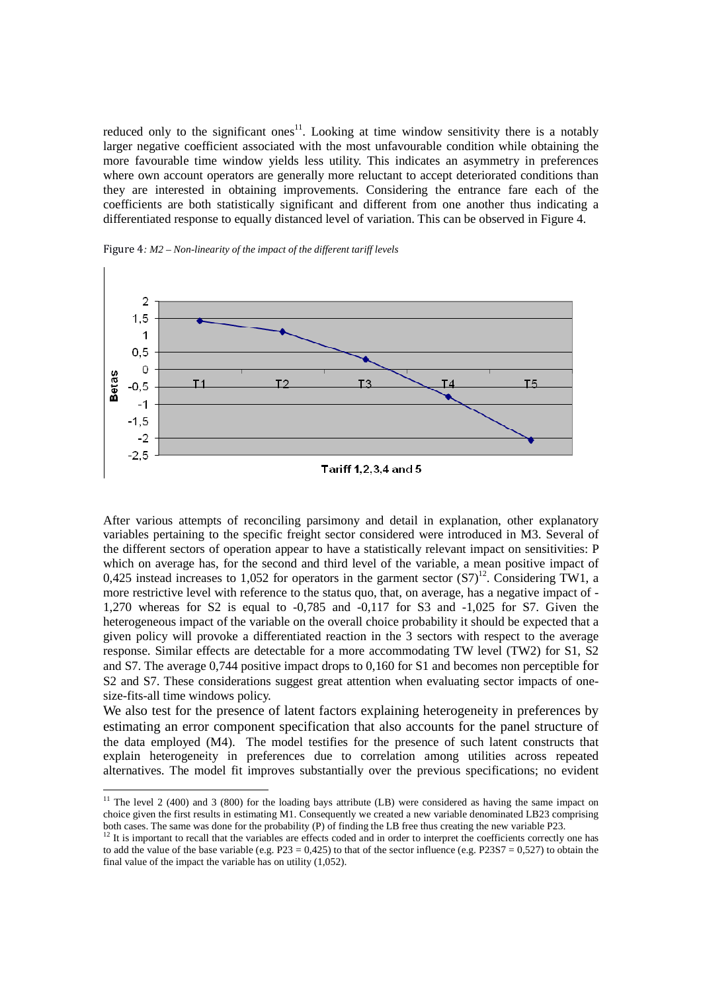reduced only to the significant ones<sup>11</sup>. Looking at time window sensitivity there is a notably larger negative coefficient associated with the most unfavourable condition while obtaining the more favourable time window yields less utility. This indicates an asymmetry in preferences where own account operators are generally more reluctant to accept deteriorated conditions than they are interested in obtaining improvements. Considering the entrance fare each of the coefficients are both statistically significant and different from one another thus indicating a differentiated response to equally distanced level of variation. This can be observed in Figure 4.





After various attempts of reconciling parsimony and detail in explanation, other explanatory variables pertaining to the specific freight sector considered were introduced in M3. Several of the different sectors of operation appear to have a statistically relevant impact on sensitivities: P which on average has, for the second and third level of the variable, a mean positive impact of 0.425 instead increases to 1.052 for operators in the garment sector  $(S7)^{12}$ . Considering TW1, a more restrictive level with reference to the status quo, that, on average, has a negative impact of - 1,270 whereas for S2 is equal to -0,785 and -0,117 for S3 and -1,025 for S7. Given the heterogeneous impact of the variable on the overall choice probability it should be expected that a given policy will provoke a differentiated reaction in the 3 sectors with respect to the average response. Similar effects are detectable for a more accommodating TW level (TW2) for S1, S2 and S7. The average 0,744 positive impact drops to 0,160 for S1 and becomes non perceptible for S2 and S7. These considerations suggest great attention when evaluating sector impacts of onesize-fits-all time windows policy.

We also test for the presence of latent factors explaining heterogeneity in preferences by estimating an error component specification that also accounts for the panel structure of the data employed (M4). The model testifies for the presence of such latent constructs that explain heterogeneity in preferences due to correlation among utilities across repeated alternatives. The model fit improves substantially over the previous specifications; no evident

-

<sup>&</sup>lt;sup>11</sup> The level 2 (400) and 3 (800) for the loading bays attribute (LB) were considered as having the same impact on choice given the first results in estimating M1. Consequently we created a new variable denominated LB23 comprising both cases. The same was done for the probability (P) of finding the LB free thus creating the new variable P23.

<sup>&</sup>lt;sup>12</sup> It is important to recall that the variables are effects coded and in order to interpret the coefficients correctly one has to add the value of the base variable (e.g.  $P23 = 0.425$ ) to that of the sector influence (e.g.  $P23S7 = 0.527$ ) to obtain the final value of the impact the variable has on utility (1,052).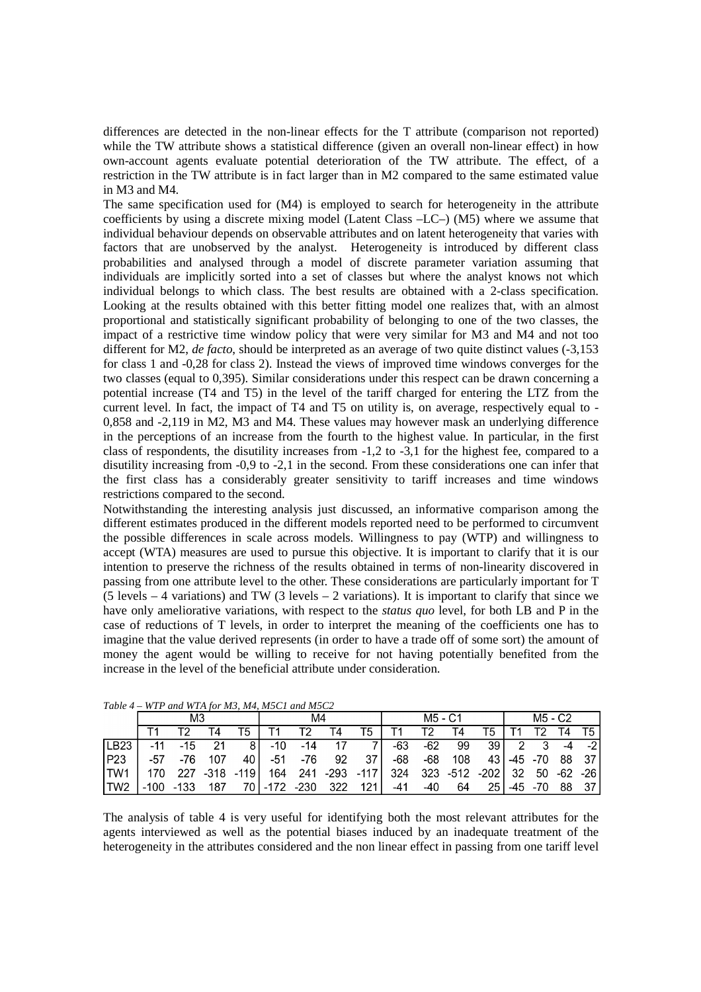differences are detected in the non-linear effects for the T attribute (comparison not reported) while the TW attribute shows a statistical difference (given an overall non-linear effect) in how own-account agents evaluate potential deterioration of the TW attribute. The effect, of a restriction in the TW attribute is in fact larger than in M2 compared to the same estimated value in M3 and M4.

The same specification used for (M4) is employed to search for heterogeneity in the attribute coefficients by using a discrete mixing model (Latent Class –LC–) (M5) where we assume that individual behaviour depends on observable attributes and on latent heterogeneity that varies with factors that are unobserved by the analyst. Heterogeneity is introduced by different class probabilities and analysed through a model of discrete parameter variation assuming that individuals are implicitly sorted into a set of classes but where the analyst knows not which individual belongs to which class. The best results are obtained with a 2-class specification. Looking at the results obtained with this better fitting model one realizes that, with an almost proportional and statistically significant probability of belonging to one of the two classes, the impact of a restrictive time window policy that were very similar for M3 and M4 and not too different for M2, *de facto*, should be interpreted as an average of two quite distinct values (-3,153 for class 1 and -0,28 for class 2). Instead the views of improved time windows converges for the two classes (equal to 0,395). Similar considerations under this respect can be drawn concerning a potential increase (T4 and T5) in the level of the tariff charged for entering the LTZ from the current level. In fact, the impact of T4 and T5 on utility is, on average, respectively equal to - 0,858 and -2,119 in M2, M3 and M4. These values may however mask an underlying difference in the perceptions of an increase from the fourth to the highest value. In particular, in the first class of respondents, the disutility increases from -1,2 to -3,1 for the highest fee, compared to a disutility increasing from -0,9 to -2,1 in the second. From these considerations one can infer that the first class has a considerably greater sensitivity to tariff increases and time windows restrictions compared to the second.

Notwithstanding the interesting analysis just discussed, an informative comparison among the different estimates produced in the different models reported need to be performed to circumvent the possible differences in scale across models. Willingness to pay (WTP) and willingness to accept (WTA) measures are used to pursue this objective. It is important to clarify that it is our intention to preserve the richness of the results obtained in terms of non-linearity discovered in passing from one attribute level to the other. These considerations are particularly important for T (5 levels  $-4$  variations) and TW (3 levels  $-2$  variations). It is important to clarify that since we have only ameliorative variations, with respect to the *status quo* level, for both LB and P in the case of reductions of T levels, in order to interpret the meaning of the coefficients one has to imagine that the value derived represents (in order to have a trade off of some sort) the amount of money the agent would be willing to receive for not having potentially benefited from the increase in the level of the beneficial attribute under consideration.

| Tuble $4 - W11$ and $W1A$ for m <sub>2</sub> , m <sub>4</sub> , m <sub>2</sub> C1 and m <sub>2</sub> C2 |      |       |     |              |        |        |      |         |     |       |           |         |     |       |    |           |
|---------------------------------------------------------------------------------------------------------|------|-------|-----|--------------|--------|--------|------|---------|-----|-------|-----------|---------|-----|-------|----|-----------|
|                                                                                                         | M3   |       |     |              | M4     |        |      | M5 - C1 |     |       |           | M5 - C2 |     |       |    |           |
|                                                                                                         |      | тρ.   | T4  | т5           |        | т      | Τ4   | T5      |     | т۶    | Τ4        | T5      |     | Т2    |    | T5.       |
| LE23                                                                                                    | -11  | $-15$ |     |              | $-10$  | -14    |      |         | -63 | $-62$ | 99        | 39 I    |     |       | -4 | -2        |
| P <sub>23</sub>                                                                                         | -57  | -76   | 107 | 40           | -51    | -76    | 92   | 37      | -68 | -68   | 108       | 43 I    | -45 | $-70$ | 88 | -37       |
| ITW1                                                                                                    |      | 227   |     | $-318 - 119$ | 164    | 241    | -293 | -117 l  | 324 | 323   | -512 -202 |         | -32 | 50    |    | $-62 -26$ |
| ITW2                                                                                                    | -100 | -133  | 187 | 70           | $-172$ | $-230$ | 322  | 121     | -41 | -40   | 64        | 25      | -45 | $-70$ | 88 | 37        |

*Table 4 – WTP and WTA for M3, M4, M5C1 and M5C2* 

The analysis of table 4 is very useful for identifying both the most relevant attributes for the agents interviewed as well as the potential biases induced by an inadequate treatment of the heterogeneity in the attributes considered and the non linear effect in passing from one tariff level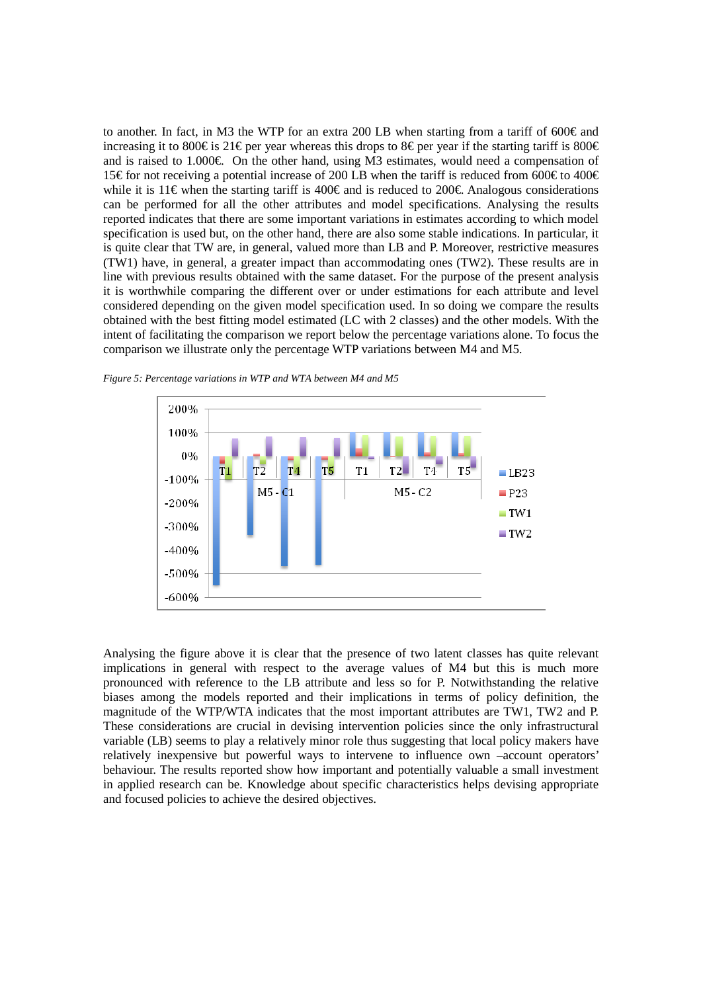to another. In fact, in M3 the WTP for an extra 200 LB when starting from a tariff of 600 $\in$  and increasing it to 800€ is 21€ per year whereas this drops to 8€ per year if the starting tariff is 800€ and is raised to 1.000€. On the other hand, using M3 estimates, would need a compensation of 15€ for not receiving a potential increase of 200 IB when the tariff is reduced from 600€ to 400€ while it is 11€ when the starting tariff is 400€ and is reduced to 200€. Analogous considerations can be performed for all the other attributes and model specifications. Analysing the results reported indicates that there are some important variations in estimates according to which model specification is used but, on the other hand, there are also some stable indications. In particular, it is quite clear that TW are, in general, valued more than LB and P. Moreover, restrictive measures (TW1) have, in general, a greater impact than accommodating ones (TW2). These results are in line with previous results obtained with the same dataset. For the purpose of the present analysis it is worthwhile comparing the different over or under estimations for each attribute and level considered depending on the given model specification used. In so doing we compare the results obtained with the best fitting model estimated (LC with 2 classes) and the other models. With the intent of facilitating the comparison we report below the percentage variations alone. To focus the comparison we illustrate only the percentage WTP variations between M4 and M5.



*Figure 5: Percentage variations in WTP and WTA between M4 and M5* 

Analysing the figure above it is clear that the presence of two latent classes has quite relevant implications in general with respect to the average values of M4 but this is much more pronounced with reference to the LB attribute and less so for P. Notwithstanding the relative biases among the models reported and their implications in terms of policy definition, the magnitude of the WTP/WTA indicates that the most important attributes are TW1, TW2 and P. These considerations are crucial in devising intervention policies since the only infrastructural variable (LB) seems to play a relatively minor role thus suggesting that local policy makers have relatively inexpensive but powerful ways to intervene to influence own –account operators' behaviour. The results reported show how important and potentially valuable a small investment in applied research can be. Knowledge about specific characteristics helps devising appropriate and focused policies to achieve the desired objectives.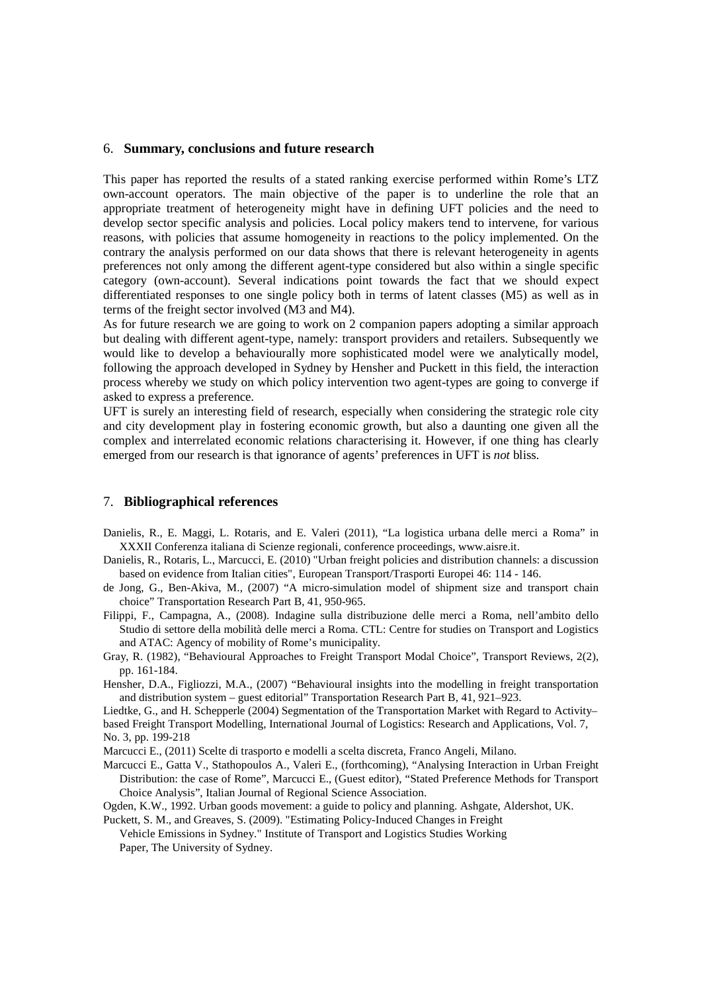### 6. **Summary, conclusions and future research**

This paper has reported the results of a stated ranking exercise performed within Rome's LTZ own-account operators. The main objective of the paper is to underline the role that an appropriate treatment of heterogeneity might have in defining UFT policies and the need to develop sector specific analysis and policies. Local policy makers tend to intervene, for various reasons, with policies that assume homogeneity in reactions to the policy implemented. On the contrary the analysis performed on our data shows that there is relevant heterogeneity in agents preferences not only among the different agent-type considered but also within a single specific category (own-account). Several indications point towards the fact that we should expect differentiated responses to one single policy both in terms of latent classes (M5) as well as in terms of the freight sector involved (M3 and M4).

As for future research we are going to work on 2 companion papers adopting a similar approach but dealing with different agent-type, namely: transport providers and retailers. Subsequently we would like to develop a behaviourally more sophisticated model were we analytically model, following the approach developed in Sydney by Hensher and Puckett in this field, the interaction process whereby we study on which policy intervention two agent-types are going to converge if asked to express a preference.

UFT is surely an interesting field of research, especially when considering the strategic role city and city development play in fostering economic growth, but also a daunting one given all the complex and interrelated economic relations characterising it. However, if one thing has clearly emerged from our research is that ignorance of agents' preferences in UFT is *not* bliss.

#### 7. **Bibliographical references**

- Danielis, R., E. Maggi, L. Rotaris, and E. Valeri (2011), "La logistica urbana delle merci a Roma" in XXXII Conferenza italiana di Scienze regionali, conference proceedings, www.aisre.it.
- Danielis, R., Rotaris, L., Marcucci, E. (2010) "Urban freight policies and distribution channels: a discussion based on evidence from Italian cities", European Transport/Trasporti Europei 46: 114 - 146.
- de Jong, G., Ben-Akiva, M., (2007) "A micro-simulation model of shipment size and transport chain choice" Transportation Research Part B, 41, 950-965.
- Filippi, F., Campagna, A., (2008). Indagine sulla distribuzione delle merci a Roma, nell'ambito dello Studio di settore della mobilità delle merci a Roma. CTL: Centre for studies on Transport and Logistics and ATAC: Agency of mobility of Rome's municipality.
- Gray, R. (1982), "Behavioural Approaches to Freight Transport Modal Choice", Transport Reviews, 2(2), pp. 161-184.
- Hensher, D.A., Figliozzi, M.A., (2007) "Behavioural insights into the modelling in freight transportation and distribution system – guest editorial" Transportation Research Part B, 41, 921–923.
- Liedtke, G., and H. Schepperle (2004) Segmentation of the Transportation Market with Regard to Activity– based Freight Transport Modelling, International Journal of Logistics: Research and Applications, Vol. 7, No. 3, pp. 199-218
- Marcucci E., (2011) Scelte di trasporto e modelli a scelta discreta, Franco Angeli, Milano.
- Marcucci E., Gatta V., Stathopoulos A., Valeri E., (forthcoming), "Analysing Interaction in Urban Freight Distribution: the case of Rome", Marcucci E., (Guest editor), "Stated Preference Methods for Transport Choice Analysis", Italian Journal of Regional Science Association.

Ogden, K.W., 1992. Urban goods movement: a guide to policy and planning. Ashgate, Aldershot, UK.

Puckett, S. M., and Greaves, S. (2009). "Estimating Policy-Induced Changes in Freight Vehicle Emissions in Sydney." Institute of Transport and Logistics Studies Working Paper, The University of Sydney.